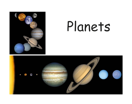

# Planets

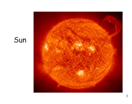### Sun

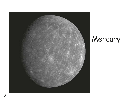

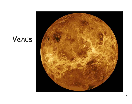### Venus

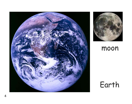



#### moon

## Earth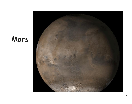### Mars

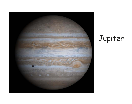

# Jupiter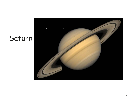## Saturn

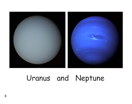

### Uranus and Neptune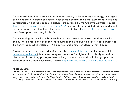The Mustard Seed Books project uses an open-source, Wikipedia-type strategy, leveraging public expertise to create and refine a set of high-quality books that support early reading development. All of the books and pictures are covered by the Creative Commons License (http://creativecommons.org/licenses/by-nc-sa/3.0/ ) and are free to print, distribute, and modify for personal or educational use. The books are available at www.mustardseedbooks.org. New titles appear on a regular basis.

There is a blog post on the website so that we can receive and discuss feedback on the books. These books have been revised a number of times, but we'd love to keep improving them. Any feedback is welcome. We also welcome photos or ideas for new books.

Photos for these books come primarily from Flickr (www.flickr.com) and the Morgue File (www.morguefile.com). Both sites are great resources for high-quality publicly accessible photos and for aspiring photographers looking to share their work. All photographs are covered by the Creative Commons License (http://creativecommons.org/licenses/by-nc-sa/3.0/ ).

#### **Photo credits:**

Sun: ESA/NASA/SOHO; Mercury: NASA/John Hopkins University Applied Physics Laboratory/Carnegie Institution of Washington; Earth: NASA/Goddard Space Flight Center Scientific Visualization Studio; Venus, Uranus, Neptune, solar system montage: NASA/JPL; Mars: NASA/JPL/Malin Space Science Systems; Moon, Saturn: NASA/ JPL/USGS; Jupiter: NASA/JPL/University of Arizona; solar system planet sizes: Lunar and Planetary Laboratory.